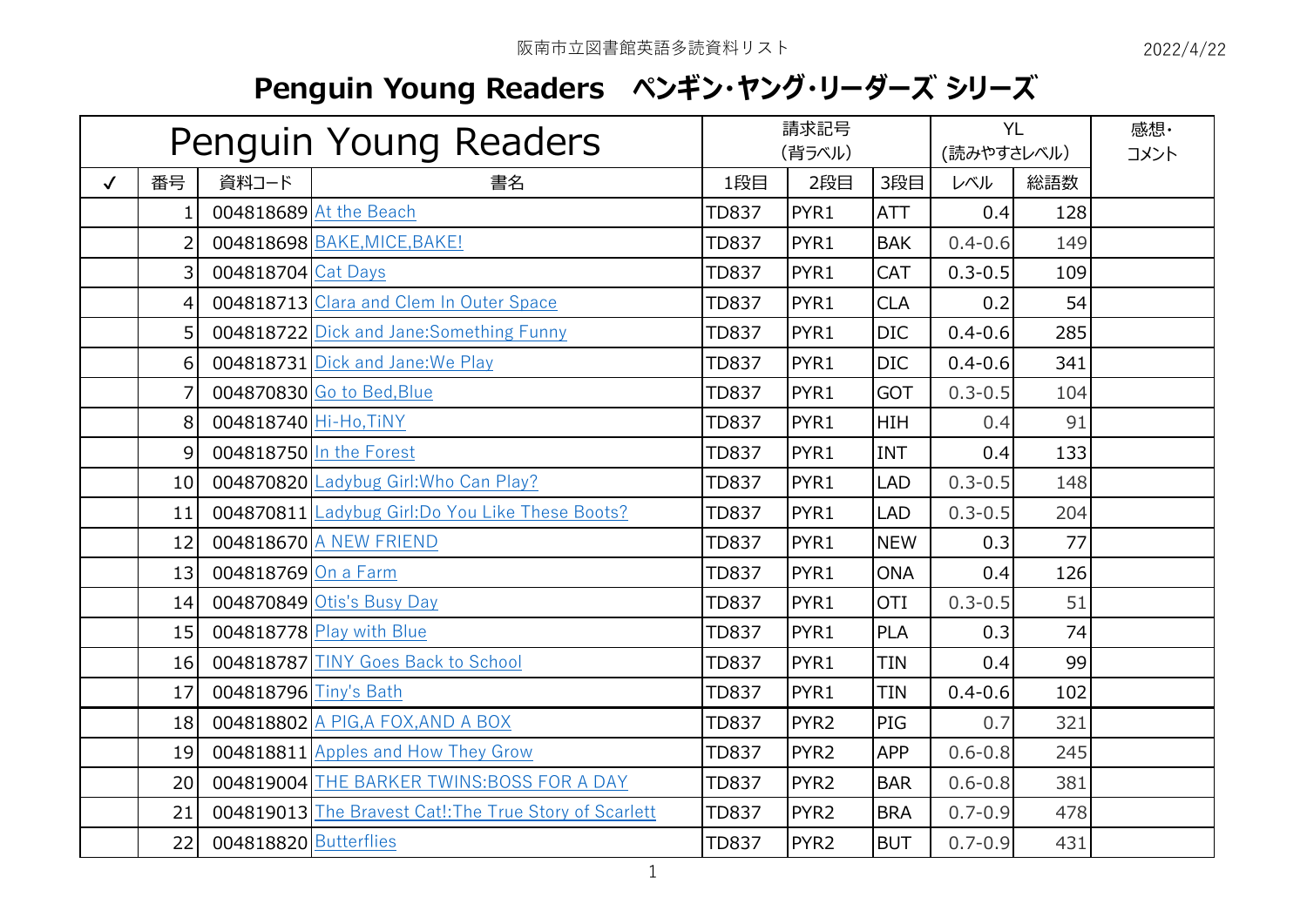## **Penguin Young Readers ペンギン・ヤング・リーダーズ シリーズ**

|              | Penguin Young Readers |                       |                                                        | 請求記号<br>(背ラベル) |                  |            | <b>YL</b><br>(読みやすさレベル) |     | 感想·<br>コメント |
|--------------|-----------------------|-----------------------|--------------------------------------------------------|----------------|------------------|------------|-------------------------|-----|-------------|
| $\checkmark$ | 番号                    | 資料コード                 | 書名                                                     | 1段目            | 2段目              | 3段目        | レベル                     | 総語数 |             |
|              | $1\vert$              |                       | 004818689 At the Beach                                 | <b>TD837</b>   | PYR1             | <b>ATT</b> | 0.4                     | 128 |             |
|              | $\overline{2}$        |                       | 004818698 BAKE, MICE, BAKE!                            | <b>TD837</b>   | PYR1             | <b>BAK</b> | $0.4 - 0.6$             | 149 |             |
|              | $\overline{3}$        | 004818704 Cat Days    |                                                        | <b>TD837</b>   | PYR1             | <b>CAT</b> | $0.3 - 0.5$             | 109 |             |
|              | $\left 4\right $      |                       | 004818713 Clara and Clem In Outer Space                | <b>TD837</b>   | PYR1             | <b>CLA</b> | 0.2                     | 54  |             |
|              | 5 <sup>1</sup>        |                       | 004818722 Dick and Jane: Something Funny               | <b>TD837</b>   | PYR1             | <b>DIC</b> | $0.4 - 0.6$             | 285 |             |
|              | $6 \mid$              |                       | 004818731 Dick and Jane: We Play                       | <b>TD837</b>   | PYR1             | <b>DIC</b> | $0.4 - 0.6$             | 341 |             |
|              | 7                     |                       | 004870830 Go to Bed, Blue                              | <b>TD837</b>   | PYR1             | <b>GOT</b> | $0.3 - 0.5$             | 104 |             |
|              | 8                     | 004818740 Hi-Ho, TiNY |                                                        | <b>TD837</b>   | PYR1             | <b>HIH</b> | 0.4                     | 91  |             |
|              | $\overline{9}$        |                       | 004818750 In the Forest                                | <b>TD837</b>   | PYR1             | <b>INT</b> | 0.4                     | 133 |             |
|              | 10                    |                       | 004870820 Ladybug Girl: Who Can Play?                  | <b>TD837</b>   | PYR1             | <b>LAD</b> | $0.3 - 0.5$             | 148 |             |
|              | 11                    |                       | 004870811 Ladybug Girl:Do You Like These Boots?        | <b>TD837</b>   | PYR1             | <b>LAD</b> | $0.3 - 0.5$             | 204 |             |
|              | 12                    |                       | 004818670 A NEW FRIEND                                 | <b>TD837</b>   | PYR1             | <b>NEW</b> | 0.3                     | 77  |             |
|              | 13                    | 004818769 On a Farm   |                                                        | <b>TD837</b>   | PYR1             | <b>ONA</b> | 0.4                     | 126 |             |
|              | 14                    |                       | 004870849 Otis's Busy Day                              | <b>TD837</b>   | PYR1             | <b>OTI</b> | $0.3 - 0.5$             | 51  |             |
|              | 15                    |                       | 004818778 Play with Blue                               | <b>TD837</b>   | PYR1             | <b>PLA</b> | 0.3                     | 74  |             |
|              | 16                    |                       | 004818787 TINY Goes Back to School                     | <b>TD837</b>   | PYR1             | <b>TIN</b> | 0.4                     | 99  |             |
|              | 17                    | 004818796 Tiny's Bath |                                                        | <b>TD837</b>   | PYR1             | <b>TIN</b> | $0.4 - 0.6$             | 102 |             |
|              | 18                    |                       | 004818802 A PIG, A FOX, AND A BOX                      | <b>TD837</b>   | PYR <sub>2</sub> | PIG        | 0.7                     | 321 |             |
|              | 19                    |                       | 004818811 Apples and How They Grow                     | <b>TD837</b>   | PYR <sub>2</sub> | <b>APP</b> | $0.6 - 0.8$             | 245 |             |
|              | 20                    |                       | 004819004 THE BARKER TWINS: BOSS FOR A DAY             | <b>TD837</b>   | PYR <sub>2</sub> | <b>BAR</b> | $0.6 - 0.8$             | 381 |             |
|              | 21                    |                       | 004819013 The Bravest Cat!: The True Story of Scarlett | <b>TD837</b>   | PYR <sub>2</sub> | <b>BRA</b> | $0.7 - 0.9$             | 478 |             |
|              | 22                    | 004818820 Butterflies |                                                        | <b>TD837</b>   | PYR <sub>2</sub> | <b>BUT</b> | $0.7 - 0.9$             | 431 |             |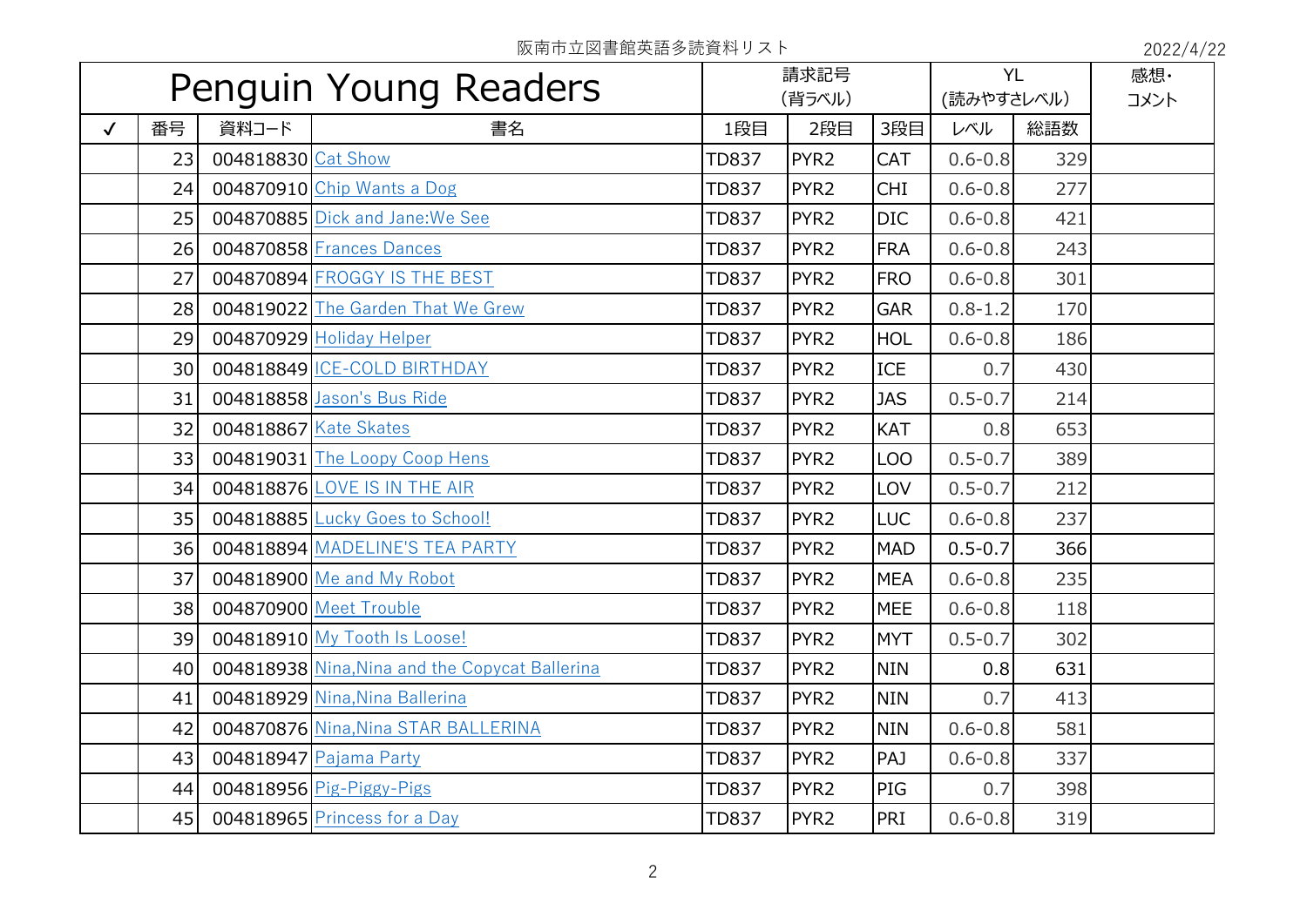|              | Penguin Young Readers |                    |                                                |              | 請求記号<br>(背ラベル)   |            |             | <b>YL</b><br>(読みやすさレベル) | 感想·<br>コメント |
|--------------|-----------------------|--------------------|------------------------------------------------|--------------|------------------|------------|-------------|-------------------------|-------------|
| $\checkmark$ | 番号                    | 資料コード              | 書名                                             | 1段目          | 2段目              | 3段目        | レベル         | 総語数                     |             |
|              | 23                    | 004818830 Cat Show |                                                | <b>TD837</b> | PYR <sub>2</sub> | <b>CAT</b> | $0.6 - 0.8$ | 329                     |             |
|              | 24                    |                    | 004870910 Chip Wants a Dog                     | <b>TD837</b> | PYR <sub>2</sub> | <b>CHI</b> | $0.6 - 0.8$ | 277                     |             |
|              | 25                    |                    | 004870885 Dick and Jane: We See                | <b>TD837</b> | PYR <sub>2</sub> | <b>DIC</b> | $0.6 - 0.8$ | 421                     |             |
|              | 26                    |                    | 004870858 Frances Dances                       | <b>TD837</b> | PYR <sub>2</sub> | <b>FRA</b> | $0.6 - 0.8$ | 243                     |             |
|              | 27                    |                    | 004870894 FROGGY IS THE BEST                   | <b>TD837</b> | PYR <sub>2</sub> | <b>FRO</b> | $0.6 - 0.8$ | 301                     |             |
|              | 28                    |                    | 004819022 The Garden That We Grew              | <b>TD837</b> | PYR <sub>2</sub> | <b>GAR</b> | $0.8 - 1.2$ | 170                     |             |
|              | 29                    |                    | 004870929 Holiday Helper                       | <b>TD837</b> | PYR <sub>2</sub> | <b>HOL</b> | $0.6 - 0.8$ | 186                     |             |
|              | 30 <sup>°</sup>       |                    | 004818849 ICE-COLD BIRTHDAY                    | <b>TD837</b> | PYR <sub>2</sub> | <b>ICE</b> | 0.7         | 430                     |             |
|              | 31                    |                    | 004818858 Jason's Bus Ride                     | <b>TD837</b> | PYR <sub>2</sub> | <b>JAS</b> | $0.5 - 0.7$ | 214                     |             |
|              | 32                    |                    | 004818867 Kate Skates                          | <b>TD837</b> | PYR <sub>2</sub> | <b>KAT</b> | 0.8         | 653                     |             |
|              | 33                    |                    | 004819031 The Loopy Coop Hens                  | <b>TD837</b> | PYR <sub>2</sub> | LOO        | $0.5 - 0.7$ | 389                     |             |
|              | 34                    |                    | 004818876 LOVE IS IN THE AIR                   | <b>TD837</b> | PYR <sub>2</sub> | LOV        | $0.5 - 0.7$ | 212                     |             |
|              | 35                    |                    | 004818885 Lucky Goes to School!                | <b>TD837</b> | PYR <sub>2</sub> | <b>LUC</b> | $0.6 - 0.8$ | 237                     |             |
|              | 36                    |                    | 004818894 MADELINE'S TEA PARTY                 | <b>TD837</b> | PYR <sub>2</sub> | <b>MAD</b> | $0.5 - 0.7$ | 366                     |             |
|              | 37                    |                    | 004818900 Me and My Robot                      | <b>TD837</b> | PYR <sub>2</sub> | <b>MEA</b> | $0.6 - 0.8$ | 235                     |             |
|              | 38                    |                    | 004870900 Meet Trouble                         | <b>TD837</b> | PYR <sub>2</sub> | <b>MEE</b> | $0.6 - 0.8$ | 118                     |             |
|              | 39                    |                    | 004818910 My Tooth Is Loose!                   | <b>TD837</b> | PYR <sub>2</sub> | <b>MYT</b> | $0.5 - 0.7$ | 302                     |             |
|              | 40                    |                    | 004818938 Nina, Nina and the Copycat Ballerina | <b>TD837</b> | PYR <sub>2</sub> | <b>NIN</b> | 0.8         | 631                     |             |
|              | 41                    |                    | 004818929 Nina, Nina Ballerina                 | <b>TD837</b> | PYR <sub>2</sub> | <b>NIN</b> | 0.7         | 413                     |             |
|              | 42                    |                    | 004870876 Nina, Nina STAR BALLERINA            | <b>TD837</b> | PYR <sub>2</sub> | <b>NIN</b> | $0.6 - 0.8$ | 581                     |             |
|              | 43                    |                    | 004818947 Pajama Party                         | <b>TD837</b> | PYR <sub>2</sub> | PAJ        | $0.6 - 0.8$ | 337                     |             |
|              | 44                    |                    | 004818956 Pig-Piggy-Pigs                       | <b>TD837</b> | PYR <sub>2</sub> | PIG        | 0.7         | 398                     |             |
|              | 45                    |                    | 004818965 Princess for a Day                   | <b>TD837</b> | PYR <sub>2</sub> | PRI        | $0.6 - 0.8$ | 319                     |             |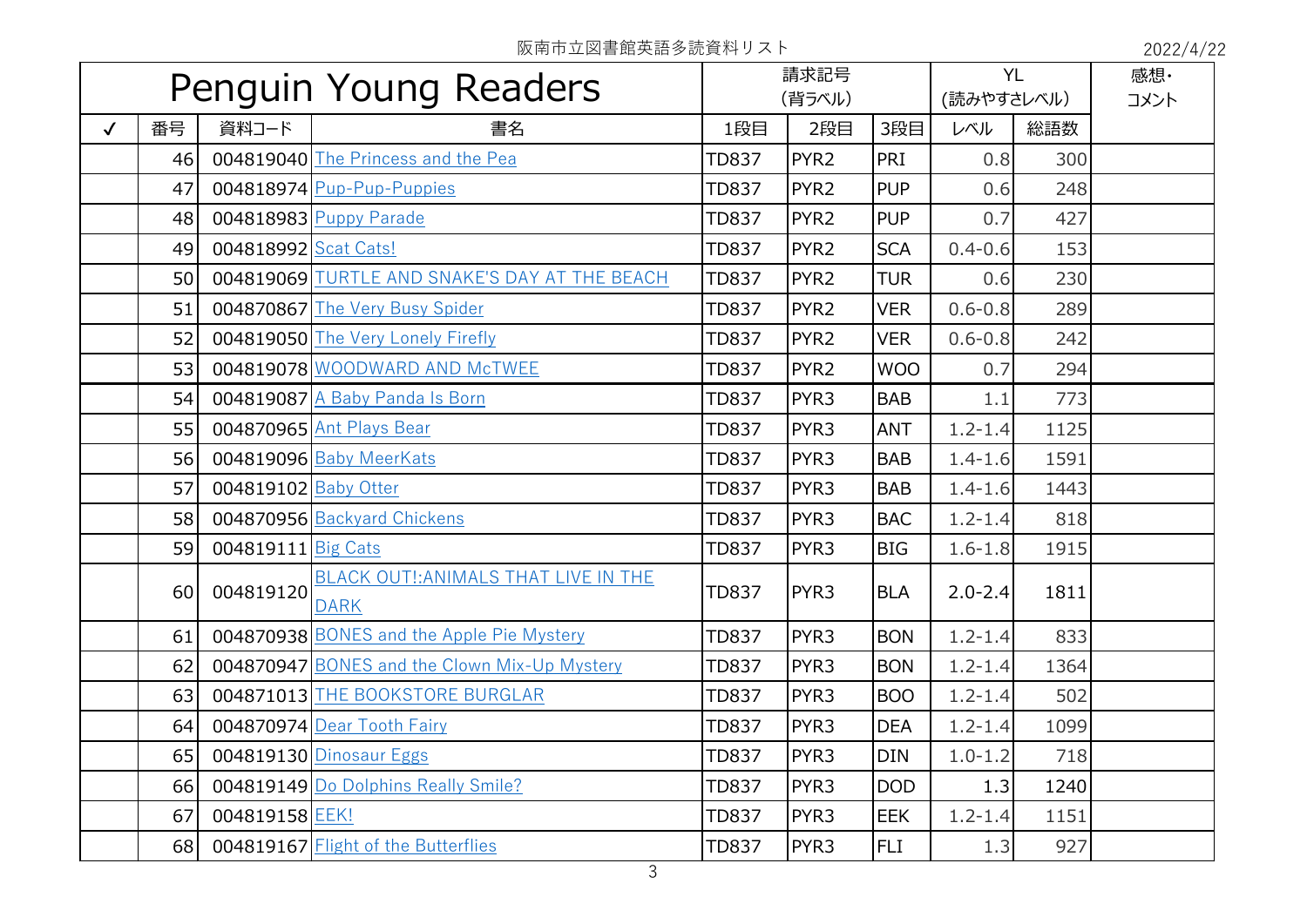| Penguin Young Readers |    |                      |                                                      | 請求記号<br>(背ラベル) |                  | <b>YL</b><br>(読みやすさレベル) |             | 感想·<br>コメント |  |
|-----------------------|----|----------------------|------------------------------------------------------|----------------|------------------|-------------------------|-------------|-------------|--|
| $\checkmark$          | 番号 | 資料コード                | 書名                                                   | 1段目            | 2段目              | 3段目                     | レベル         | 総語数         |  |
|                       | 46 |                      | 004819040 The Princess and the Pea                   | <b>TD837</b>   | PYR <sub>2</sub> | PRI                     | 0.8         | 300         |  |
|                       | 47 |                      | 004818974 Pup-Pup-Puppies                            | <b>TD837</b>   | PYR <sub>2</sub> | <b>PUP</b>              | 0.6         | 248         |  |
|                       | 48 |                      | 004818983 Puppy Parade                               | <b>TD837</b>   | PYR <sub>2</sub> | <b>PUP</b>              | 0.7         | 427         |  |
|                       | 49 | 004818992 Scat Cats! |                                                      | <b>TD837</b>   | PYR <sub>2</sub> | <b>SCA</b>              | $0.4 - 0.6$ | 153         |  |
|                       | 50 |                      | 004819069 TURTLE AND SNAKE'S DAY AT THE BEACH        | <b>TD837</b>   | PYR <sub>2</sub> | <b>TUR</b>              | 0.6         | 230         |  |
|                       | 51 |                      | 004870867 The Very Busy Spider                       | <b>TD837</b>   | PYR <sub>2</sub> | <b>VER</b>              | $0.6 - 0.8$ | 289         |  |
|                       | 52 |                      | 004819050 The Very Lonely Firefly                    | <b>TD837</b>   | PYR <sub>2</sub> | <b>VER</b>              | $0.6 - 0.8$ | 242         |  |
|                       | 53 |                      | 004819078 WOODWARD AND McTWEE                        | <b>TD837</b>   | PYR <sub>2</sub> | <b>WOO</b>              | 0.7         | 294         |  |
|                       | 54 |                      | 004819087 A Baby Panda Is Born                       | <b>TD837</b>   | PYR3             | <b>BAB</b>              | 1.1         | 773         |  |
|                       | 55 |                      | 004870965 Ant Plays Bear                             | <b>TD837</b>   | PYR3             | <b>ANT</b>              | $1.2 - 1.4$ | 1125        |  |
|                       | 56 |                      | 004819096 Baby MeerKats                              | <b>TD837</b>   | PYR <sub>3</sub> | <b>BAB</b>              | $1.4 - 1.6$ | 1591        |  |
|                       | 57 | 004819102 Baby Otter |                                                      | <b>TD837</b>   | PYR <sub>3</sub> | <b>BAB</b>              | $1.4 - 1.6$ | 1443        |  |
|                       | 58 |                      | 004870956 Backyard Chickens                          | <b>TD837</b>   | PYR3             | <b>BAC</b>              | $1.2 - 1.4$ | 818         |  |
|                       | 59 | 004819111 Big Cats   |                                                      | <b>TD837</b>   | PYR3             | <b>BIG</b>              | $1.6 - 1.8$ | 1915        |  |
|                       | 60 | 004819120            | BLACK OUT !: ANIMALS THAT LIVE IN THE<br><b>DARK</b> | <b>TD837</b>   | PYR <sub>3</sub> | <b>BLA</b>              | $2.0 - 2.4$ | 1811        |  |
|                       | 61 |                      | 004870938 BONES and the Apple Pie Mystery            | <b>TD837</b>   | PYR3             | <b>BON</b>              | $1.2 - 1.4$ | 833         |  |
|                       | 62 |                      | 004870947 BONES and the Clown Mix-Up Mystery         | <b>TD837</b>   | PYR <sub>3</sub> | <b>BON</b>              | $1.2 - 1.4$ | 1364        |  |
|                       | 63 |                      | 004871013 THE BOOKSTORE BURGLAR                      | <b>TD837</b>   | PYR <sub>3</sub> | <b>BOO</b>              | $1.2 - 1.4$ | 502         |  |
|                       | 64 |                      | 004870974 Dear Tooth Fairy                           | <b>TD837</b>   | PYR <sub>3</sub> | <b>DEA</b>              | $1.2 - 1.4$ | 1099        |  |
|                       | 65 |                      | 004819130 Dinosaur Eggs                              | <b>TD837</b>   | PYR <sub>3</sub> | <b>DIN</b>              | $1.0 - 1.2$ | 718         |  |
|                       | 66 |                      | 004819149 Do Dolphins Really Smile?                  | <b>TD837</b>   | PYR3             | <b>DOD</b>              | 1.3         | 1240        |  |
|                       | 67 | 004819158 EEK!       |                                                      | <b>TD837</b>   | PYR3             | <b>EEK</b>              | $1.2 - 1.4$ | 1151        |  |
|                       | 68 |                      | 004819167 Flight of the Butterflies                  | <b>TD837</b>   | PYR <sub>3</sub> | <b>FLI</b>              | 1.3         | 927         |  |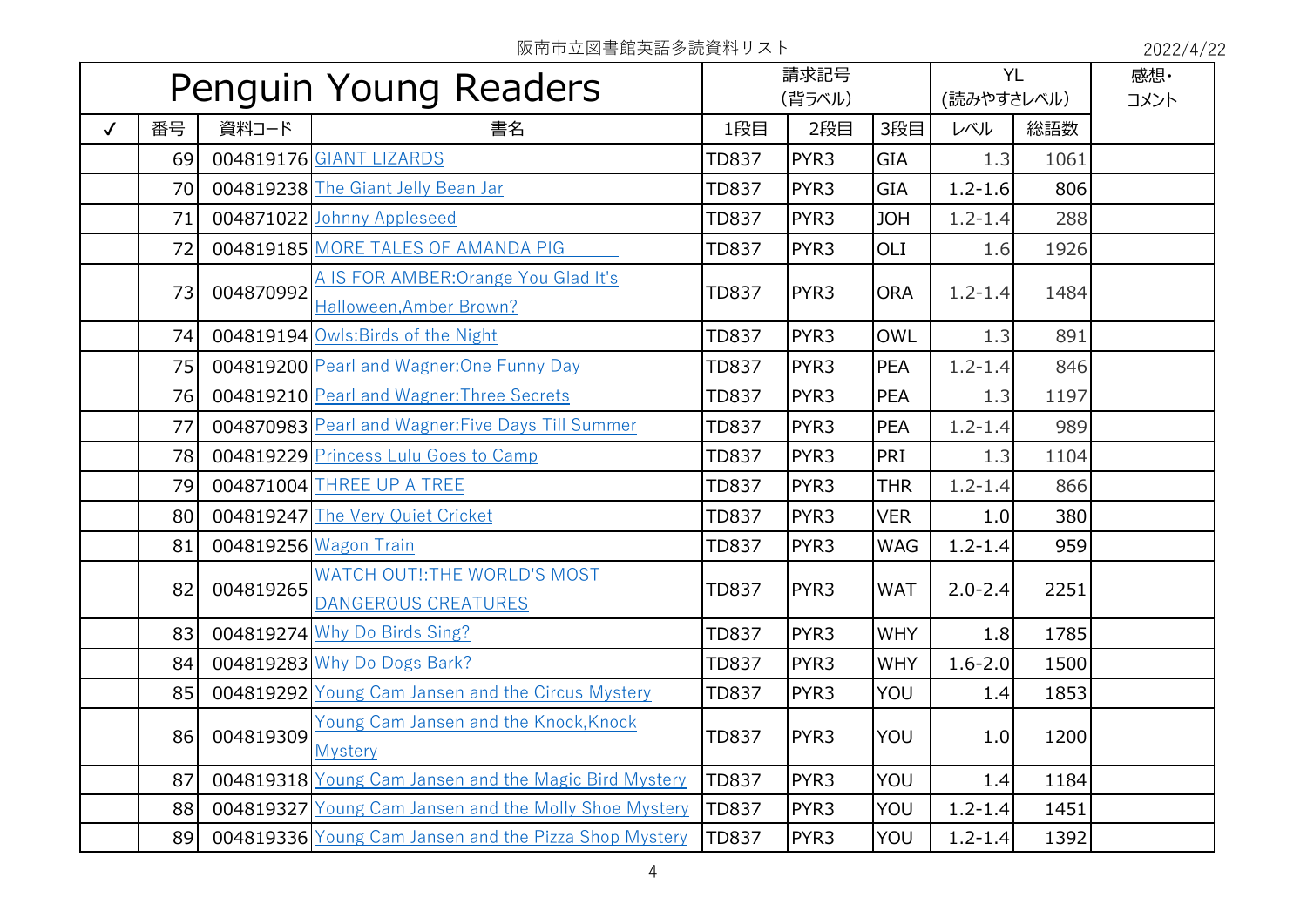| Penguin Young Readers |    |           | 請求記号<br>(背ラベル)                                                  |              |                  | <b>YL</b><br>(読みやすさレベル) |             | 感想·<br>コメント |  |
|-----------------------|----|-----------|-----------------------------------------------------------------|--------------|------------------|-------------------------|-------------|-------------|--|
| $\checkmark$          | 番号 | 資料コード     | 書名                                                              | 1段目          | 2段目              | 3段目                     | 総語数<br>レベル  |             |  |
|                       | 69 |           | 004819176 GIANT LIZARDS                                         | <b>TD837</b> | PYR3             | <b>GIA</b>              | 1.3         | 1061        |  |
|                       | 70 |           | 004819238 The Giant Jelly Bean Jar                              | <b>TD837</b> | PYR3             | <b>GIA</b>              | $1.2 - 1.6$ | 806         |  |
|                       | 71 |           | 004871022 Johnny Appleseed                                      | <b>TD837</b> | PYR3             | <b>JOH</b>              | $1.2 - 1.4$ | 288         |  |
|                       | 72 |           | 004819185 MORE TALES OF AMANDA PIG                              | <b>TD837</b> | PYR3             | OLI                     | 1.6         | 1926        |  |
|                       | 73 | 004870992 | A IS FOR AMBER: Orange You Glad It's<br>Halloween, Amber Brown? | <b>TD837</b> | PYR3             | <b>ORA</b>              | $1.2 - 1.4$ | 1484        |  |
|                       | 74 |           | 004819194 Owls: Birds of the Night                              | <b>TD837</b> | PYR3             | <b>OWL</b>              | 1.3         | 891         |  |
|                       | 75 |           | 004819200 Pearl and Wagner: One Funny Day                       | <b>TD837</b> | PYR3             | <b>PEA</b>              | $1.2 - 1.4$ | 846         |  |
|                       | 76 |           | 004819210 Pearl and Wagner: Three Secrets                       | <b>TD837</b> | PYR3             | <b>PEA</b>              | 1.3         | 1197        |  |
|                       | 77 |           | 004870983 Pearl and Wagner: Five Days Till Summer               | <b>TD837</b> | PYR3             | <b>PEA</b>              | $1.2 - 1.4$ | 989         |  |
|                       | 78 |           | 004819229 Princess Lulu Goes to Camp                            | <b>TD837</b> | PYR <sub>3</sub> | PRI                     | 1.3         | 1104        |  |
|                       | 79 |           | 004871004 THREE UP A TREE                                       | <b>TD837</b> | PYR3             | <b>THR</b>              | $1.2 - 1.4$ | 866         |  |
|                       | 80 |           | 004819247 The Very Quiet Cricket                                | <b>TD837</b> | PYR <sub>3</sub> | <b>VER</b>              | 1.0         | 380         |  |
|                       | 81 |           | 004819256 Wagon Train                                           | <b>TD837</b> | PYR <sub>3</sub> | <b>WAG</b>              | $1.2 - 1.4$ | 959         |  |
|                       | 82 | 004819265 | WATCH OUT !: THE WORLD'S MOST<br><b>DANGEROUS CREATURES</b>     | <b>TD837</b> | PYR3             | <b>WAT</b>              | $2.0 - 2.4$ | 2251        |  |
|                       | 83 |           | 004819274 Why Do Birds Sing?                                    | <b>TD837</b> | PYR3             | <b>WHY</b>              | 1.8         | 1785        |  |
|                       | 84 |           | 004819283 Why Do Dogs Bark?                                     | <b>TD837</b> | PYR3             | <b>WHY</b>              | $1.6 - 2.0$ | 1500        |  |
|                       | 85 |           | 004819292 Young Cam Jansen and the Circus Mystery               | <b>TD837</b> | PYR3             | YOU                     | 1.4         | 1853        |  |
|                       | 86 | 004819309 | Young Cam Jansen and the Knock, Knock<br><b>Mystery</b>         | <b>TD837</b> | PYR3             | YOU                     | 1.0         | 1200        |  |
|                       | 87 |           | 004819318 Young Cam Jansen and the Magic Bird Mystery           | <b>TD837</b> | PYR3             | YOU                     | 1.4         | 1184        |  |
|                       | 88 |           | 004819327 Young Cam Jansen and the Molly Shoe Mystery           | <b>TD837</b> | PYR <sub>3</sub> | YOU                     | $1.2 - 1.4$ | 1451        |  |
|                       | 89 |           | 004819336 Young Cam Jansen and the Pizza Shop Mystery           | <b>TD837</b> | PYR3             | YOU                     | $1.2 - 1.4$ | 1392        |  |